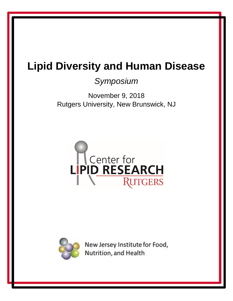## *Symposium*

November 9, 2018 Rutgers University, New Brunswick, NJ





New Jersey Institute for Food, Nutrition, and Health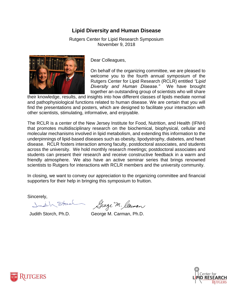Rutgers Center for Lipid Research Symposium November 9, 2018



Dear Colleagues,

On behalf of the organizing committee, we are pleased to welcome you to the fourth annual symposium of the Rutgers Center for Lipid Research (RCLR) entitled *"Lipid Diversity and Human Disease."* We have brought together an outstanding group of scientists who will share

their knowledge, results, and insights into how different classes of lipids mediate normal and pathophysiological functions related to human disease. We are certain that you will find the presentations and posters, which are designed to facilitate your interaction with other scientists, stimulating, informative, and enjoyable.

The RCLR is a center of the New Jersey Institute for Food, Nutrition, and Health (IFNH) that promotes multidisciplinary research on the biochemical, biophysical, cellular and molecular mechanisms involved in lipid metabolism, and extending this information to the underpinnings of lipid-based diseases such as obesity, lipodystrophy, diabetes, and heart disease. RCLR fosters interaction among faculty, postdoctoral associates, and students across the university. We hold monthly research meetings; postdoctoral associates and students can present their research and receive constructive feedback in a warm and friendly atmosphere. We also have an active seminar series that brings renowned scientists to Rutgers for interactions with RCLR members and the university community.

In closing, we want to convey our appreciation to the organizing committee and financial supporters for their help in bringing this symposium to fruition.

Sincerely,

Judith Stead

George M. Claiman

Judith Storch, Ph.D. George M. Carman, Ph.D.



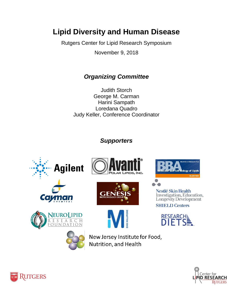Rutgers Center for Lipid Research Symposium

November 9, 2018

### *Organizing Committee*

Judith Storch George M. Carman Harini Sampath Loredana Quadro Judy Keller, Conference Coordinator

### *Supporters*





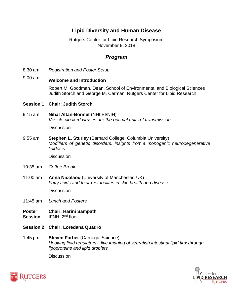#### Rutgers Center for Lipid Research Symposium November 9, 2018

#### *Program*

- 8:30 am *Registration and Poster Setup*
- 9:00 am **Welcome and Introduction**

Robert M. Goodman, Dean, School of Environmental and Biological Sciences Judith Storch and George M. Carman, Rutgers Center for Lipid Research

#### **Session 1 Chair: Judith Storch**

9:15 am **Nihal Altan-Bonnet** (NHLBI/NIH) *Vesicle-cloaked viruses are the optimal units of transmission*

**Discussion** 

9:55 am **Stephen L. Sturley** (Barnard College, Columbia University) *Modifiers of genetic disorders: insights from a monogenic neurodegenerative lipidosis*

**Discussion** 

- 10:35 am *Coffee Break*
- 11:00 am **Anna Nicolaou** (University of Manchester, UK) *Fatty acids and their metabolites in skin health and disease*

**Discussion** 

- 11:45 am *Lunch and Posters*
- **Poster Session Chair: Harini Sampath**  IFNH, 2nd floor
- **Session 2 Chair: Loredana Quadro**
- 1:45 pm **Steven Farber** (Carnegie Science) *Hooking lipid regulators—live imaging of zebrafish intestinal lipid flux through lipoproteins and lipid droplets*

**Discussion** 



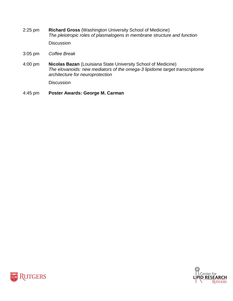2:25 pm **Richard Gross** (Washington University School of Medicine) *The pleiotropic roles of plasmalogens in membrane structure and function*

**Discussion** 

- 3:05 pm *Coffee Break*
- 4:00 pm **Nicolas Bazan** (Louisiana State University School of Medicine) *The elovanoids: new mediators of the omega-3 lipidome target transcriptome architecture for neuroprotection*

**Discussion** 

4:45 pm **Poster Awards: George M. Carman**



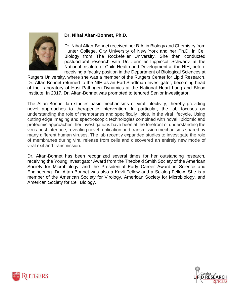

#### **Dr. Nihal Altan-Bonnet, Ph.D.**

Dr. Nihal Altan-Bonnet received her B.A. in Biology and Chemistry from Hunter College, City University of New York and her Ph.D. in Cell Biology from The Rockefeller University. She then conducted postdoctoral research with Dr. Jennifer Lippincott-Schwartz at the National Institute of Child Health and Development at the NIH, before receiving a faculty position in the Department of Biological Sciences at

Rutgers University, where she was a member of the Rutgers Center for Lipid Research. Dr. Altan-Bonnet returned to the NIH as an Earl Stadtman Investigator, becoming head of the Laboratory of Host-Pathogen Dynamics at the National Heart Lung and Blood Institute. In 2017, Dr. Altan-Bonnet was promoted to tenured Senior Investigator.

The Altan-Bonnet lab studies basic mechanisms of viral infectivity, thereby providing novel approaches to therapeutic intervention. In particular, the lab focuses on understanding the role of membranes and specifically lipids, in the viral lifecycle. Using cutting edge imaging and spectroscopic technologies combined with novel lipidomic and proteomic approaches, her investigations have been at the forefront of understanding the virus-host interface, revealing novel replication and transmission mechanisms shared by many different human viruses. The lab recently expanded studies to investigate the role of membranes during viral release from cells and discovered an entirely new mode of viral exit and transmission.

Dr. Altan-Bonnet has been recognized several times for her outstanding research, receiving the Young Investigator Award from the Theobald Smith Society of the American Society for Microbiology, and the Presidential Early Career Award in Science and Engineering. Dr. Altan-Bonnet was also a Kavli Fellow and a Scialog Fellow. She is a member of the American Society for Virology, American Society for Microbiology, and American Society for Cell Biology.



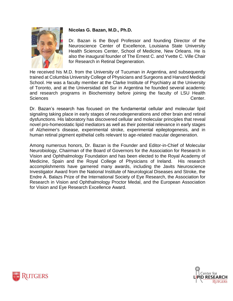

#### **Nicolas G. Bazan, M.D., Ph.D.**

Dr. Bazan is the Boyd Professor and founding Director of the Neuroscience Center of Excellence, Louisiana State University Health Sciences Center, School of Medicine, New Orleans. He is also the inaugural founder of The Ernest C. and Yvette C. Ville Chair for Research in Retinal Degeneration.

He received his M.D. from the University of Tucuman in Argentina, and subsequently trained at Columbia University College of Physicians and Surgeons and Harvard Medical School. He was a faculty member at the Clarke Institute of Psychiatry at the University of Toronto, and at the Universidad del Sur in Argentina he founded several academic and research programs in Biochemistry before joining the faculty of LSU Health Sciences Center.

Dr. Bazan's research has focused on the fundamental cellular and molecular lipid signaling taking place in early stages of neurodegenerations and other brain and retinal dysfunctions. His laboratory has discovered cellular and molecular principles that reveal novel pro-homeostatic lipid mediators as well as their potential relevance in early stages of Alzheimer's disease, experimental stroke, experimental epileptogenesis, and in human retinal pigment epithelial cells relevant to age-related macular degeneration.

Among numerous honors, Dr. Bazan is the Founder and Editor-in-Chief of Molecular Neurobiology, Chairman of the Board of Governors for the Association for Research in Vision and Ophthalmology Foundation and has been elected to the Royal Academy of Medicine, Spain and the Royal College of Physicians of Ireland. His research accomplishments have garnered many awards, including the Javits Neuroscience Investigator Award from the National Institute of Neurological Diseases and Stroke, the Endre A. Balazs Prize of the International Society of Eye Research, the Association for Research in Vision and Ophthalmology Proctor Medal, and the European Association for Vision and Eye Research Excellence Award.



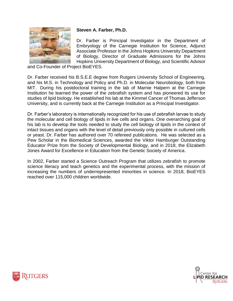

#### **Steven A. Farber, Ph.D.**

Dr. Farber is Principal Investigator in the Department of Embryology of the Carnegie Institution for Science, Adjunct Associate Professor in the Johns Hopkins University Department of Biology, Director of Graduate Admissions for the Johns Hopkins University Department of Biology, and Scientific Advisor

and Co-Founder of Project BioEYES.

Dr. Farber received his B.S.E.E degree from Rutgers University School of Engineering, and his M.S. in Technology and Policy and Ph.D. in Molecular Neurobiology, both from MIT. During his postdoctoral training in the lab of Marnie Halpern at the Carnegie Institution he learned the power of the zebrafish system and has pioneered its use for studies of lipid biology. He established his lab at the Kimmel Cancer of Thomas Jefferson University, and is currently back at the Carnegie Institution as a Principal Investigator.

Dr. Farber's laboratory is internationally recognized for his use of zebrafish larvae to study the molecular and cell biology of lipids in live cells and organs. One overarching goal of his lab is to develop the tools needed to study the cell biology of lipids in the context of intact tissues and organs with the level of detail previously only possible in cultured cells or yeast. Dr. Farber has authored over 70 refereed publications. He was selected as a Pew Scholar in the Biomedical Sciences, awarded the Viktor Hamburger Outstanding Educator Prize from the Society of Developmental Biology, and in 2018, the Elizabeth Jones Award for Excellence in Education from the Genetic Society of America.

In 2002, Farber started a Science Outreach Program that utilizes zebrafish to promote science literacy and teach genetics and the experimental process, with the mission of increasing the numbers of underrepresented minorities in science. In 2018, BioEYES reached over 115,000 children worldwide.



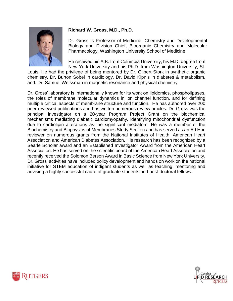

#### **Richard W. Gross, M.D., Ph.D.**

Dr. Gross is Professor of Medicine, Chemistry and Developmental Biology and Division Chief, Bioorganic Chemistry and Molecular Pharmacology, Washington University School of Medicine

He received his A.B. from Columbia University, his M.D. degree from New York University and his Ph.D. from Washington University, St.

Louis. He had the privilege of being mentored by Dr. Gilbert Stork in synthetic organic chemistry, Dr. Burton Sobel in cardiology, Dr. David Kipnis in diabetes & metabolism, and. Dr. Samuel Weissman in magnetic resonance and physical chemistry.

Dr. Gross' laboratory is internationally known for its work on lipidomics, phospholipases, the roles of membrane molecular dynamics in ion channel function, and for defining multiple critical aspects of membrane structure and function. He has authored over 200 peer-reviewed publications and has written numerous review articles. Dr. Gross was the principal investigator on a 20-year Program Project Grant on the biochemical mechanisms mediating diabetic cardiomyopathy, identifying mitochondrial dysfunction due to cardiolipin alterations as the significant mediators. He was a member of the Biochemistry and Biophysics of Membranes Study Section and has served as an Ad Hoc reviewer on numerous grants from the National Institutes of Health, American Heart Association and American Diabetes Association. His research has been recognized by a Searle Scholar award and an Established Investigator Award from the American Heart Association. He has served on the scientific board of the American Heart Association and recently received the Solomon Berson Award in Basic Science from New York University. Dr. Gross' activities have included policy development and hands on work on the national initiative for STEM education of indigent students as well as teaching, mentoring and advising a highly successful cadre of graduate students and post-doctoral fellows.



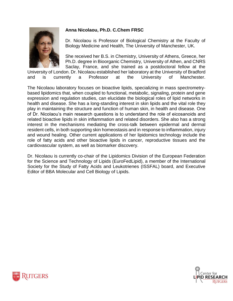#### **Anna Nicolaou, Ph.D. C.Chem FRSC**



Dr. Nicolaou is Professor of Biological Chemistry at the Faculty of Biology Medicine and Health, The University of Manchester, UK.

She received her B.S. in Chemistry, University of Athens, Greece, her Ph.D. degree in Bioorganic Chemistry, University of Athen, and CNRS Saclay, France, and she trained as a postdoctoral fellow at the

University of London. Dr. Nicolaou established her laboratory at the University of Bradford and is currently a Professor at the University of Manchester.

The Nicolaou laboratory focuses on bioactive lipids, specializing in mass spectrometrybased lipidomics that, when coupled to functional, metabolic, signaling, protein and gene expression and regulation studies, can elucidate the biological roles of lipid networks in health and disease. She has a long-standing interest in skin lipids and the vital role they play in maintaining the structure and function of human skin, in health and disease. One of Dr. Nicolaou's main research questions is to understand the role of eicosanoids and related bioactive lipids in skin inflammation and related disorders. She also has a strong interest in the mechanisms mediating the cross-talk between epidermal and dermal resident cells, in both supporting skin homeostasis and in response to inflammation, injury and wound healing. Other current applications of her lipidomics technology include the role of fatty acids and other bioactive lipids in cancer, reproductive tissues and the cardiovascular system, as well as biomarker discovery.

Dr. Nicolaou is currently co-chair of the Lipidomics Division of the European Federation for the Science and Technology of Lipids (EuroFedLipid), a member of the International Society for the Study of Fatty Acids and Leukotrienes (ISSFAL) board, and Executive Editor of BBA Molecular and Cell Biology of Lipids.



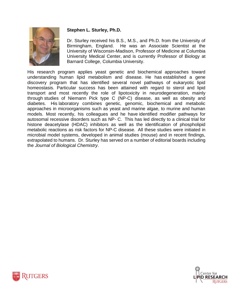

#### **Stephen L. Sturley, Ph.D.**

Dr. Sturley received his B.S., M.S., and Ph.D. from the University of Birmingham, England. He was an Associate Scientist at the University of Wisconsin-Madison, Professor of Medicine at Columbia University Medical Center, and is currently Professor of Biology at Barnard College, Columbia University.

His research program applies yeast genetic and biochemical approaches toward understanding human lipid metabolism and disease. He has established a gene discovery program that has identified several novel pathways of eukaryotic lipid homeostasis. Particular success has been attained with regard to sterol and lipid transport and most recently the role of lipotoxicity in neurodegeneration, mainly through studies of Niemann Pick type C (NP-C) disease, as well as obesity and diabetes. His laboratory combines genetic, genomic, biochemical and metabolic approaches in microorganisms such as yeast and marine algae, to murine and human models. Most recently, his colleagues and he have identified modifier pathways for autosomal recessive disorders such as NP- C. This has led directly to a clinical trial for histone deacetylase (HDAC) inhibitors as well as the identification of phospholipid metabolic reactions as risk factors for NP-C disease. All these studies were initiated in microbial model systems, developed in animal studies (mouse) and in recent findings, extrapolated to humans. Dr. Sturley has served on a number of editorial boards including the *Journal of Biological Chemistry*.



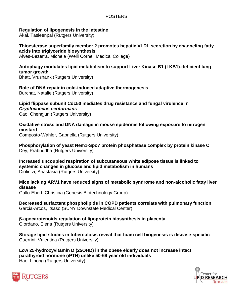#### POSTERS

#### **Regulation of lipogenesis in the intestine**

Akal, Tasleenpal (Rutgers University)

**Thioesterase superfamily member 2 promotes hepatic VLDL secretion by channeling fatty acids into triglyceride biosynthesis**

Alves-Bezerra, Michele (Weill Cornell Medical College)

**Autophagy modulates lipid metabolism to support Liver Kinase B1 (LKB1)-deficient lung tumor growth**

Bhatt, Vrushank (Rutgers University)

**Role of DNA repair in cold-induced adaptive thermogenesis** Burchat, Natalie (Rutgers University)

**Lipid flippase subunit Cdc50 mediates drug resistance and fungal virulence in**  *Cryptococcus neoformans* Cao, Chengjun (Rutgers University)

**Oxidative stress and DNA damage in mouse epidermis following exposure to nitrogen mustard**

Composto-Wahler, Gabriella (Rutgers University)

**Phosphorylation of yeast Nem1-Spo7 protein phosphatase complex by protein kinase C** Dey, Prabuddha (Rutgers University)

**Increased uncoupled respiration of subcutaneous white adipose tissue is linked to systemic changes in glucose and lipid metabolism in humans** Diolintzi, Anastasia (Rutgers University)

**Mice lacking ARV1 have reduced signs of metabolic syndrome and non-alcoholic fatty liver disease**

Gallo-Ebert, Christina (Genesis Biotechnology Group)

**Decreased surfactant phospholipids in COPD patients correlate with pulmonary function** Garcia-Arcos, Itsaso (SUNY Downstate Medical Center)

**β-apocarotenoids regulation of lipoprotein biosynthesis in placenta** Giordano, Elena (Rutgers University)

**Storage lipid studies in tuberculosis reveal that foam cell biogenesis is disease-specific** Guerrini, Valentina (Rutgers University)

**Low 25-hydroxyvitamin D (25OHD) in the obese elderly does not increase intact parathyroid hormone (iPTH) unlike 50-69 year old individuals** Hao, Lihong (Rutgers University)



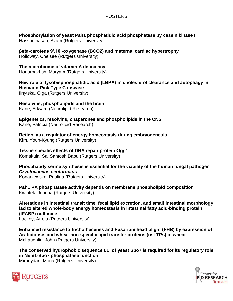#### POSTERS

**Phosphorylation of yeast Pah1 phosphatidic acid phosphatase by casein kinase I** Hassaninasab, Azam (Rutgers University)

**βeta-carotene 9',10'-oxygenase (BCO2) and maternal cardiac hypertrophy** Holloway, Chelsee (Rutgers University)

**The microbiome of vitamin A deficiency** Honarbakhsh, Maryam (Rutgers University)

**New role of lysobisphosphatidic acid (LBPA) in cholesterol clearance and autophagy in Niemann-Pick Type C disease** Ilnytska, Olga (Rutgers University)

**Resolvins, phospholipids and the brain** Kane, Edward (Neurolipid Research)

**Epigenetics, resolvins, chaperones and phospholipids in the CNS** Kane, Patricia (Neurolipid Research)

**Retinol as a regulator of energy homeostasis during embryogenesis** Kim, Youn-Kyung (Rutgers University)

**Tissue specific effects of DNA repair protein Ogg1**

Komakula, Sai Santosh Babu (Rutgers University)

**Phosphatidylserine synthesis is essential for the viability of the human fungal pathogen**  *Cryptococcus neoformans* Konarzewska, Paulina (Rutgers University)

**Pah1 PA phosphatase activity depends on membrane phospholipid composition** Kwiatek, Joanna (Rutgers University)

**Alterations in intestinal transit time, fecal lipid excretion, and small intestinal morphology lad to altered whole-body energy homeostasis in intestinal fatty acid-binding protein (IFABP) null-mice** Lackey, Atreju (Rutgers University)

**Enhanced resistance to trichothecenes and Fusarium head blight (FHB) by expression of Arabidopsis and wheat non-specific lipid transfer proteins (nsLTPs) in wheat** McLaughlin, John (Rutgers University)

**The conserved hydrophobic sequence LLI of yeast Spo7 is required for its regulatory role in Nem1-Spo7 phosphatase function** Mirheydari, Mona (Rutgers University)



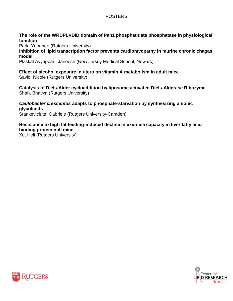#### POSTERS

**The role of the WRDPLVDID domain of Pah1 phosphatidate phosphatase in physiological function**

Park, Yeonhee (Rutgers University)

**Inhibition of lipid transcription factor prevents cardiomyopathy in murine chronic chagas model**

Plakkal Ayyappan, Janeesh (New Jersey Medical School, Newark)

**Effect of alcohol exposure in utero on vitamin A metabolism in adult mice** Savio, Nicole (Rutgers University)

**Catalysis of Diels-Alder cycloaddition by liposome activated Diels-Alderase Ribozyme** Shah, Bhavya (Rutgers University)

*Caulobacter crescentus* **adapts to phosphate-starvation by synthesizing anionic glycolipids** Stankeviciute, Gabriele (Rutgers University-Camden)

**Resistance to high fat feeding-induced decline in exercise capacity in liver fatty acidbinding protein null mice**

Xu, Heli (Rutgers University)



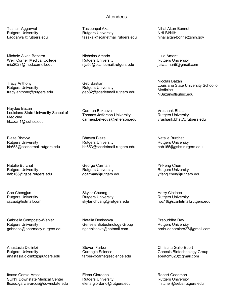Tushar Aggarwal Rutgers University t.aggarwal@rutgers.edu

Michele Alves-Bezerra Weill Cornell Medical College mia2028@med.cornell.edu

Tracy Anthony Rutgers University tracy.anthony@rutgers.edu

Haydee Bazan Louisiana State University School of Medicine hbazan1@lsuhsc.edu

Blaze Bhavya Rutgers University bb653@scarletmail.rutgers.edu

Natalie Burchat Rutgers University nab165@gsbs.rutgers.edu

Cao Chengjun Rutgers University cj.cao@hotmail.com

Gabriella Composto-Wahler Rutgers University gabrieco@pharmacy.rutgers.edu

Anastasia Diolintzi Rutgers University anastasia.diolintzi@rutgers.edu

Itsaso Garcia-Arcos SUNY Downstate Medical Center Itsaso.garcia-arcos@downstate.edu

#### **Attendees**

Tasleenpal Akal Rutgers University tasakal@scarletmail.rutgers.edu

Nicholas Amado Rutgers University nja50@scarletmail.rutgers.edu

Geb Bastian Rutgers University geb82@scarletmail.rutgers.edu

Carmen Bekeova Thomas Jefferson University carmen.bekeova@jefferson.edu

Bhavya Blaze Rutgers University bb653@scarletmail.rutgers.edu

George Carman Rutgers University gcarman@rutgers.edu

Skylar Chuang Rutgers University skylar.chuang@rutgers.edu

Natalia Denissova Genesis Biotechnology Group ngdenissova@hotmail.com

Steven Farber Carnegie Science farber@carnegiescience.edu

Elena Giordano Rutgers University elena.giordano@rutgers.edu Nihal Altan-Bonnet NHLBI/NIH nihal.altan-bonnet@nih.gov

Julia Amariti Rutgers University julia.amariti@gmail.com

Nicolas Bazan Louisiana State University School of Medicine NBazan@lsuhsc.edu

Vrushank Bhatt Rutgers University vrushank.bhatt@rutgers.edu

Natalie Burchat Rutgers University nab165@gsbs.rutgers.edu

Yi-Feng Chen Rutgers University yifeng.chen@rutgers.edu

Harry Cintineo Rutgers University hpc16@scarletmail.rutgers.edu

Prabuddha Dey Rutgers University prabuddhamicro27@gmail.com

Christina Gallo-Ebert Genesis Biotechnology Group ebertcm620@gmail.com

Robert Goodman Rutgers University lmitchell@sebs.rutgers.edu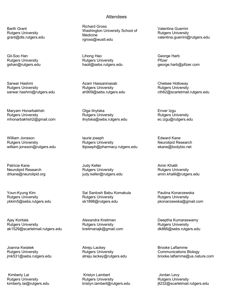Barth Grant Rutgers University grant@dls.rutgers.edu

Gil-Soo Han Rutgers University gshan@rutgers.edu

Sarwar Hashmi Rutgers University sarwar.hashmi@rutgers.edu

Maryam Honarbakhsh Rutgers University mhonarbakhsh2@gmail.com

William Jonsson Rutgers Universtiy william.jonsson@rutgers.edu

Patricia Kane Neurolipid Research drkane@neurolipid.org

Youn-Kyung Kim Rutgers University ykkim5@sebs.rutgers.edu

Ajay Koritala Rutgers University ak1529@scarletmail.rutgers.edu

Joanna Kwiatek Rutgers University jmk531@sebs.rutgers.edu

Kimberly Lai Rutgers University kimberly.lai@rutgers.edu

#### **Attendees**

Richard Gross Washington University School of Medicine rgross@wustl.edu

Lihong Hao Rutgers University haoli@sebs.rutgers.edu

Azam Hassaninasab Rutgers University ah909@sebs.rutgers.edu

Olga Ilnytska Rutgers University ilnytska@sebs.rutgers.edu

laurie joseph Rutgers University lbjoseph@pharmacy.rutgers.edu

Judy Keller Rutgers University judy.keller@rutgers.edu

Sai Santosh Babu Komakula Rutgers University sk1898@rutgers.edu

Alexandra Kreitman Rutgers University kreitmanajk@gmail.com

Atreju Lackey Rutgers University atreju.lackey@rutgers.edu

Kristyn Lambert Rutgers University kristyn.lambert@rutgers.edu Valentina Guerrini Rutgers University valentina.guerrini@rutgers.edu

George Harb Pfizer george.harb@pfizer.com

Chelsee Holloway Rutgers University cth62@scarletmail.rutgers.edu

Enver Izgu Rutgers University ec.izgu@rutgers.edu

Edward Kane Neurolipid Research ekane@bodybio.net

Amin Khalili Rutgers University amin.khalili@rutgers.edu

Paulina Konarzewska Rutgers University pkonarzewska@gmail.com

Deeptha Kumaraswamy Rutgers University dk866@sebs.rutgers.edu

Brooke Laflamme Communications Biology brooke.laflamme@us.nature.com

Jordan Levy Rutgers University jll232@scarletmail.rutgers.edu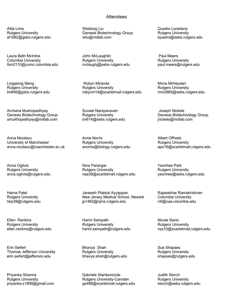Atila Lima Rutgers University al1082@gsbs.rutgers.edu

Laura Beth McIntire Columbia University lbm2110@cumc.columbia.edu

Lingqiong Meng Rutgers University lm846@gsbs.rutgers.edu

Archana Mukhopadhyay Genesis Biotechnology Group amukhopadhyay@mdlab.com

Anna Nicolaou University of Manchester anna.nicolaou@manchester.ac.uk

Anna Ogilvie Rutgers University anna.ogilvie@rutgers.edu

Harna Patel Rutgers University hkp38@rutgers.edu

Ellen Rankins Rutgers University ellen.rankins@rutgers.edu

Erin Seifert Thomas Jefferson University erin.seifert@jefferson.edu

Priyanka Sharma Rutgers University priyanka.s1909@gmail.com

#### **Attendees**

Weidong Liu Genesis Biotechnology Group wliu@mdlab.com

John McLaughlin Rutgers University mclaughj@sebs.rutgers.edu

Robyn Miranda Rutgers University robynm14@scarletmail.rutgers.edu

Suneel Narayanavari Rutgers University sn614@sebs.rutgers.edu

Anne Norris Rutgers University anorris@biology.rutgers.edu

Nina Paranjpe Rutgers University nep38@scarletmail.rutgers.edu

Janeesh Plakkal Ayyappan New Jersey Medical School, Newark jp1482@njms.rutgers.edu

Harini Sampath Rutgers University harini.sampath@rutgers.edu

Bhavya Shah Rutgers University bhavya.shah@rutgers.edu

Gabriele Stankeviciute Rutgers University-Camden gs488@scarletmail.rutgers.edu Quadro Loredana Rutgers University lquadro@sebs.rutgers.edu

Paul Meers Rutgers University paul.meers@rutgers.edu

Mona Mirheydari Rutgers University mm2665@sebs.rutgers.edu

Joseph Nickels Genesis Biotechnology Group jnickels@mdlab.com

Albert Offredo Rutgers University apo16@scarletmail.rutgers.edu

Yeonhee Park Rutgers University yeonhee@sebs.rutgers.edu

Rajasekhar Ramakrishnan Columbia University rr6@caa.columbia.edu

Nicole Savio Rutgers University nys10@scarletmail.rutgers.edu

Sue Shapses Rutgers University shapses@rutgers.edu

Judith Storch Rutgers University storch@sebs.rutgers.edu